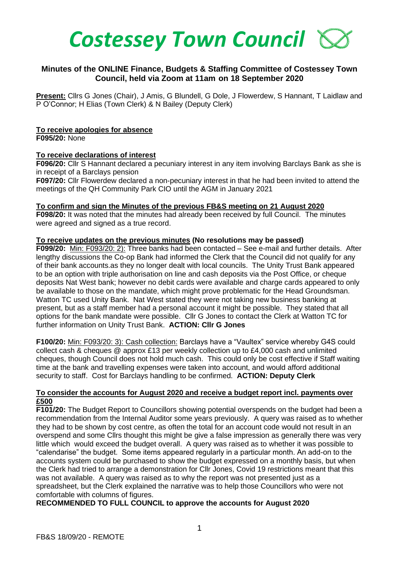

# **Minutes of the ONLINE Finance, Budgets & Staffing Committee of Costessey Town Council, held via Zoom at 11am on 18 September 2020**

**Present:** Cllrs G Jones (Chair), J Amis, G Blundell, G Dole, J Flowerdew, S Hannant, T Laidlaw and P O'Connor; H Elias (Town Clerk) & N Bailey (Deputy Clerk)

### **To receive apologies for absence**

**F095/20:** None

### **To receive declarations of interest**

**F096/20:** Cllr S Hannant declared a pecuniary interest in any item involving Barclays Bank as she is in receipt of a Barclays pension

**F097/20:** Cllr Flowerdew declared a non-pecuniary interest in that he had been invited to attend the meetings of the QH Community Park CIO until the AGM in January 2021

#### **To confirm and sign the Minutes of the previous FB&S meeting on 21 August 2020**

**F098/20:** It was noted that the minutes had already been received by full Council. The minutes were agreed and signed as a true record.

### **To receive updates on the previous minutes (No resolutions may be passed)**

**F099/20:** Min: F093/20: 2): Three banks had been contacted – See e-mail and further details. After lengthy discussions the Co-op Bank had informed the Clerk that the Council did not qualify for any of their bank accounts.as they no longer dealt with local councils. The Unity Trust Bank appeared to be an option with triple authorisation on line and cash deposits via the Post Office, or cheque deposits Nat West bank; however no debit cards were available and charge cards appeared to only be available to those on the mandate, which might prove problematic for the Head Groundsman. Watton TC used Unity Bank. Nat West stated they were not taking new business banking at present, but as a staff member had a personal account it might be possible. They stated that all options for the bank mandate were possible. Cllr G Jones to contact the Clerk at Watton TC for further information on Unity Trust Bank. **ACTION: Cllr G Jones**

**F100/20:** Min: F093/20: 3): Cash collection: Barclays have a "Vaultex" service whereby G4S could collect cash & cheques @ approx £13 per weekly collection up to £4,000 cash and unlimited cheques, though Council does not hold much cash. This could only be cost effective if Staff waiting time at the bank and travelling expenses were taken into account, and would afford additional security to staff. Cost for Barclays handling to be confirmed. **ACTION: Deputy Clerk** 

### **To consider the accounts for August 2020 and receive a budget report incl. payments over £500**

**F101/20:** The Budget Report to Councillors showing potential overspends on the budget had been a recommendation from the Internal Auditor some years previously.A query was raised as to whether they had to be shown by cost centre, as often the total for an account code would not result in an overspend and some Cllrs thought this might be give a false impression as generally there was very little which would exceed the budget overall. A query was raised as to whether it was possible to "calendarise" the budget. Some items appeared regularly in a particular month. An add-on to the accounts system could be purchased to show the budget expressed on a monthly basis, but when the Clerk had tried to arrange a demonstration for Cllr Jones, Covid 19 restrictions meant that this was not available. A query was raised as to why the report was not presented just as a spreadsheet, but the Clerk explained the narrative was to help those Councillors who were not comfortable with columns of figures.

## **RECOMMENDED TO FULL COUNCIL to approve the accounts for August 2020**